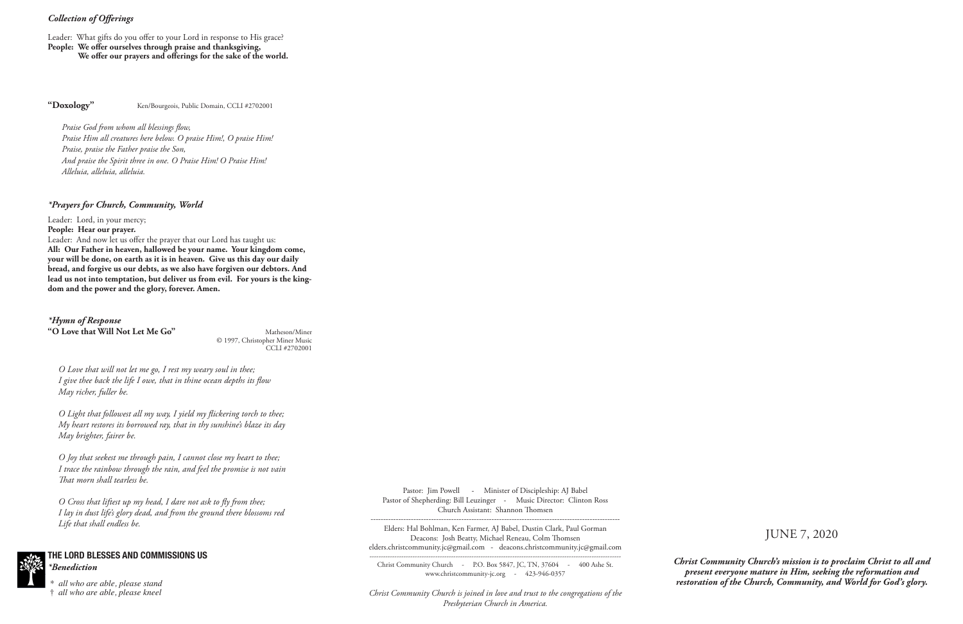*Christ Community Church's mission is to proclaim Christ to all and present everyone mature in Him, seeking the reformation and restoration of the Church, Community, and World for God's glory.*

# *Collection of Offerings*

Leader: What gifts do you offer to your Lord in response to His grace? **People: We offer ourselves through praise and thanksgiving, We offer our prayers and offerings for the sake of the world.**

"Doxology" Ken/Bourgeois, Public Domain, CCLI #2702001

*Praise God from whom all blessings flow, Praise Him all creatures here below. O praise Him!, O praise Him! Praise, praise the Father praise the Son, And praise the Spirit three in one. O Praise Him! O Praise Him! Alleluia, alleluia, alleluia.*

Leader: And now let us offer the prayer that our Lord has taught us: **All: Our Father in heaven, hallowed be your name. Your kingdom come, your will be done, on earth as it is in heaven. Give us this day our daily bread, and forgive us our debts, as we also have forgiven our debtors. And lead us not into temptation, but deliver us from evil. For yours is the kingdom and the power and the glory, forever. Amen.**

*\*Hymn of Response* "O Love that Will Not Let Me Go" Matheson/Miner

## *\*Prayers for Church, Community, World*

Leader: Lord, in your mercy;

**People: Hear our prayer.**

Pastor: Jim Powell - Minister of Discipleship: AJ Babel Pastor of Shepherding: Bill Leuzinger - Music Director: Clinton Ross Church Assistant: Shannon Thomsen

© 1997, Christopher Miner Music CCLI #2702001

*O Love that will not let me go, I rest my weary soul in thee; I give thee back the life I owe, that in thine ocean depths its flow May richer, fuller be.*

*O Light that followest all my way, I yield my flickering torch to thee; My heart restores its borrowed ray, that in thy sunshine's blaze its day May brighter, fairer be.*

*O Joy that seekest me through pain, I cannot close my heart to thee; I trace the rainbow through the rain, and feel the promise is not vain That morn shall tearless be.*

*O Cross that liftest up my head, I dare not ask to fly from thee; I lay in dust life's glory dead, and from the ground there blossoms red Life that shall endless be.*



**THE LORD BLESSES AND COMMISSIONS US**  *\*Benediction* 

 *\* all who are able, please stand*  † *all who are able, please kneel*

--------------------------------------------------------------------------------------------------- Elders: Hal Bohlman, Ken Farmer, AJ Babel, Dustin Clark, Paul Gorman Deacons: Josh Beatty, Michael Reneau, Colm Thomsen elders.christcommunity.jc@gmail.com - deacons.christcommunity.jc@gmail.com

--------------------------------------------------------------------------------------------------------------- Christ Community Church - P.O. Box 5847, JC, TN, 37604 - 400 Ashe St. www.christcommunity-jc.org - 423-946-0357

*Christ Community Church is joined in love and trust to the congregations of the Presbyterian Church in America.*

# JUNE 7, 2020